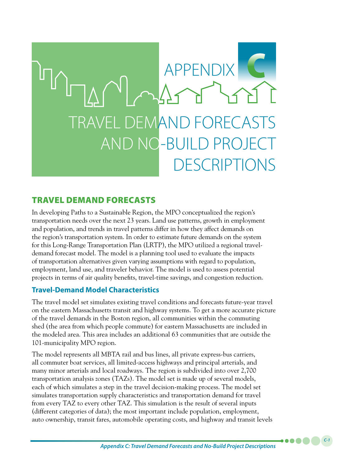

# TRAVEL DEMAND FORECASTS

In developing Paths to a Sustainable Region, the MPO conceptualized the region's transportation needs over the next 23 years. Land use patterns, growth in employment and population, and trends in travel patterns differ in how they affect demands on the region's transportation system. In order to estimate future demands on the system for this Long-Range Transportation Plan (LRTP), the MPO utilized a regional traveldemand forecast model. The model is a planning tool used to evaluate the impacts of transportation alternatives given varying assumptions with regard to population, employment, land use, and traveler behavior. The model is used to assess potential projects in terms of air quality benefits, travel-time savings, and congestion reduction.

### **Travel-Demand Model Characteristics**

The travel model set simulates existing travel conditions and forecasts future-year travel on the eastern Massachusetts transit and highway systems. To get a more accurate picture of the travel demands in the Boston region, all communities within the commuting shed (the area from which people commute) for eastern Massachusetts are included in the modeled area. This area includes an additional 63 communities that are outside the 101-municipality MPO region.

The model represents all MBTA rail and bus lines, all private express-bus carriers, all commuter boat services, all limited-access highways and principal arterials, and many minor arterials and local roadways. The region is subdivided into over 2,700 transportation analysis zones (TAZs). The model set is made up of several models, each of which simulates a step in the travel decision-making process. The model set simulates transportation supply characteristics and transportation demand for travel from every TAZ to every other TAZ. This simulation is the result of several inputs (different categories of data); the most important include population, employment, auto ownership, transit fares, automobile operating costs, and highway and transit levels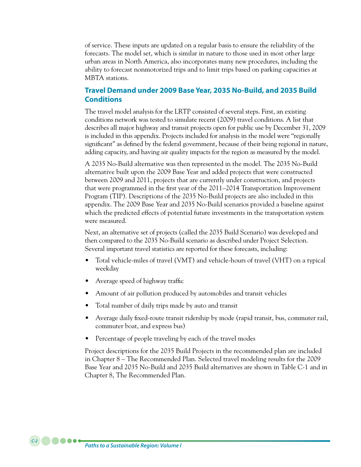of service. These inputs are updated on a regular basis to ensure the reliability of the forecasts. The model set, which is similar in nature to those used in most other large urban areas in North America, also incorporates many new procedures, including the ability to forecast nonmotorized trips and to limit trips based on parking capacities at MBTA stations.

## **Travel Demand under 2009 Base Year, 2035 No-Build, and 2035 Build Conditions**

The travel model analysis for the LRTP consisted of several steps. First, an existing conditions network was tested to simulate recent (2009) travel conditions. A list that describes all major highway and transit projects open for public use by December 31, 2009 is included in this appendix. Projects included for analysis in the model were "regionally significant" as defined by the federal government, because of their being regional in nature, adding capacity, and having air quality impacts for the region as measured by the model.

A 2035 No-Build alternative was then represented in the model. The 2035 No-Build alternative built upon the 2009 Base Year and added projects that were constructed between 2009 and 2011, projects that are currently under construction, and projects that were programmed in the first year of the 2011–2014 Transportation Improvement Program (TIP). Descriptions of the 2035 No-Build projects are also included in this appendix. The 2009 Base Year and 2035 No-Build scenarios provided a baseline against which the predicted effects of potential future investments in the transportation system were measured.

Next, an alternative set of projects (called the 2035 Build Scenario) was developed and then compared to the 2035 No-Build scenario as described under Project Selection. Several important travel statistics are reported for these forecasts, including:

- Total vehicle-miles of travel (VMT) and vehicle-hours of travel (VHT) on a typical weekday
- Average speed of highway traffic
- Amount of air pollution produced by automobiles and transit vehicles
- Total number of daily trips made by auto and transit
- Average daily fixed-route transit ridership by mode (rapid transit, bus, commuter rail, commuter boat, and express bus)
- Percentage of people traveling by each of the travel modes

Project descriptions for the 2035 Build Projects in the recommended plan are included in Chapter 8 – The Recommended Plan. Selected travel modeling results for the 2009 Base Year and 2035 No-Build and 2035 Build alternatives are shown in Table C-1 and in Chapter 8, The Recommended Plan.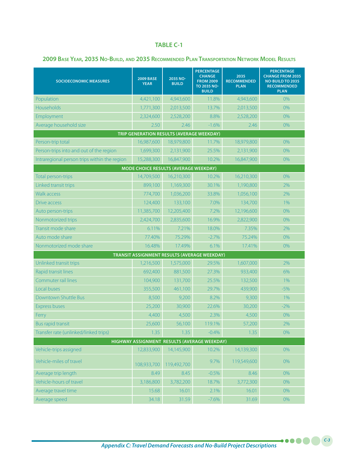#### **TABLE C-1**

#### **2009 Base Year, 2035 No-Build, and 2035 Recommended Plan Transportation Network Model Results**

| <b>SOCIOECONOMIC MEASURES</b>                    | <b>2009 BASE</b><br><b>YEAR</b> | 2035 NO-<br><b>BUILD</b> | <b>PERCENTAGE</b><br><b>CHANGE</b><br><b>FROM 2009</b><br>TO 2035 NO-<br><b>BUILD</b> | 2035<br><b>RECOMMENDED</b><br><b>PLAN</b> | <b>PERCENTAGE</b><br><b>CHANGE FROM 2035</b><br><b>NO-BUILD TO 2035</b><br><b>RECOMMENDED</b><br><b>PLAN</b> |
|--------------------------------------------------|---------------------------------|--------------------------|---------------------------------------------------------------------------------------|-------------------------------------------|--------------------------------------------------------------------------------------------------------------|
| Population                                       | 4,421,100                       | 4,943,600                | 11.8%                                                                                 | 4,943,600                                 | 0%                                                                                                           |
| Households                                       | 1,771,300                       | 2,013,500                | 13.7%                                                                                 | 2,013,500                                 | $0\%$                                                                                                        |
| Employment                                       | 2,324,600                       | 2,528,200                | 8.8%                                                                                  | 2,528,200                                 | 0%                                                                                                           |
| Average household size                           | 2.50                            | 2.46                     | $-1.6%$                                                                               | 2.46                                      | 0%                                                                                                           |
| <b>TRIP GENERATION RESULTS (AVERAGE WEEKDAY)</b> |                                 |                          |                                                                                       |                                           |                                                                                                              |
| Person-trip total                                | 16,987,600                      | 18,979,800               | 11.7%                                                                                 | 18,979,800                                | 0%                                                                                                           |
| Person-trips into and out of the region          | 1,699,300                       | 2,131,900                | 25.5%                                                                                 | 2,131,900                                 | 0%                                                                                                           |
| Intraregional person trips within the region     | 15,288,300                      | 16,847,900               | 10.2%                                                                                 | 16,847,900                                | 0%                                                                                                           |
| MODE CHOICE RESULTS (AVERAGE WEEKDAY)            |                                 |                          |                                                                                       |                                           |                                                                                                              |
| Total person-trips                               | 14,709,500                      | 16,210,300               | 10.2%                                                                                 | 16,210,300                                | 0%                                                                                                           |
| Linked transit trips                             | 899,100                         | 1,169,300                | 30.1%                                                                                 | 1,190,800                                 | 2%                                                                                                           |
| <b>Walk access</b>                               | 774,700                         | 1,036,200                | 33.8%                                                                                 | 1,056,100                                 | 2%                                                                                                           |
| Drive access                                     | 124,400                         | 133,100                  | 7.0%                                                                                  | 134,700                                   | 1%                                                                                                           |
| Auto person-trips                                | 11,385,700                      | 12,205,400               | 7.2%                                                                                  | 12,196,600                                | 0%                                                                                                           |
| Nonmotorized trips                               | 2,424,700                       | 2,835,600                | 16.9%                                                                                 | 2,822,900                                 | 0%                                                                                                           |
| Transit mode share                               | 6.11%                           | 7.21%                    | 18.0%                                                                                 | 7.35%                                     | 2%                                                                                                           |
| Auto mode share                                  | 77.40%                          | 75.29%                   | $-2.7%$                                                                               | 75.24%                                    | 0%                                                                                                           |
| Nonmotorized mode share                          | 16.48%                          | 17.49%                   | 6.1%                                                                                  | 17.41%                                    | 0%                                                                                                           |
| TRANSIT ASSIGNMENT RESULTS (AVERAGE WEEKDAY)     |                                 |                          |                                                                                       |                                           |                                                                                                              |
| Unlinked transit trips                           | 1,216,500                       | 1,575,000                | 29.5%                                                                                 | 1,607,000                                 | 2%                                                                                                           |
| Rapid transit lines                              | 692,400                         | 881,500                  | 27.3%                                                                                 | 933,400                                   | 6%                                                                                                           |
| Commuter rail lines                              | 104,900                         | 131,700                  | 25.5%                                                                                 | 132,500                                   | 1%                                                                                                           |
| Local buses                                      | 355,500                         | 461,100                  | 29.7%                                                                                 | 439,900                                   | $-5%$                                                                                                        |
| Downtown Shuttle Bus                             | 8,500                           | 9,200                    | 8.2%                                                                                  | 9,300                                     | 1%                                                                                                           |
| <b>Express buses</b>                             | 25,200                          | 30,900                   | 22.6%                                                                                 | 30,200                                    | $-2%$                                                                                                        |
| Ferry                                            | 4,400                           | 4,500                    | 2.3%                                                                                  | 4,500                                     | 0%                                                                                                           |
| <b>Bus rapid transit</b>                         | 25,600                          | 56,100                   | 119.1%                                                                                | 57,200                                    | 2%                                                                                                           |
| Transfer rate (unlinked/linked trips)            | 1.35                            | 1.35                     | $-0.4%$                                                                               | 1.35                                      | $0\%$                                                                                                        |
| HIGHWAY ASSIGNMENT RESULTS (AVERAGE WEEKDAY)     |                                 |                          |                                                                                       |                                           |                                                                                                              |
| Vehicle-trips assigned                           | 12,833,900                      | 14,145,900               | 10.2%                                                                                 | 14,139,300                                | 0%                                                                                                           |
| Vehicle-miles of travel                          | 108,933,700                     | 119,492,700              | 9.7%                                                                                  | 119,549,600                               | 0%                                                                                                           |
| Average trip length                              | 8.49                            | 8.45                     | $-0.5%$                                                                               | 8.46                                      | 0%                                                                                                           |
| Vehicle-hours of travel                          | 3,186,800                       | 3,782,200                | 18.7%                                                                                 | 3,772,300                                 | 0%                                                                                                           |
| Average travel time                              | 15.68                           | 16.01                    | 2.1%                                                                                  | 16.01                                     | 0%                                                                                                           |
| Average speed                                    | 34.18                           | 31.59                    | $-7.6%$                                                                               | 31.69                                     | $0\%$                                                                                                        |

*Appendix C: Travel Demand Forecasts and No-Build Project Descriptions*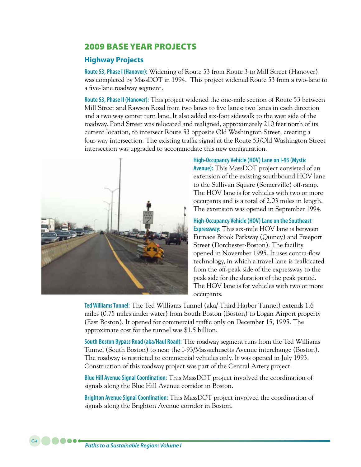# 2009 BASE YEAR PROJECTS

## **Highway Projects**

**Route 53, Phase I (Hanover):** Widening of Route 53 from Route 3 to Mill Street (Hanover) was completed by MassDOT in 1994. This project widened Route 53 from a two-lane to a five-lane roadway segment.

**Route 53, Phase II (Hanover):** This project widened the one-mile section of Route 53 between Mill Street and Rawson Road from two lanes to five lanes: two lanes in each direction and a two way center turn lane. It also added six-foot sidewalk to the west side of the roadway. Pond Street was relocated and realigned, approximately 210 feet north of its current location, to intersect Route 53 opposite Old Washington Street, creating a four-way intersection. The existing traffic signal at the Route 53/Old Washington Street intersection was upgraded to accommodate this new configuration.



**High-Occupancy Vehicle (HOV) Lane on I-93 (Mystic Avenue):** This MassDOT project consisted of an extension of the existing southbound HOV lane to the Sullivan Square (Somerville) off-ramp. The HOV lane is for vehicles with two or more occupants and is a total of 2.03 miles in length. The extension was opened in September 1994.

**High-Occupancy Vehicle (HOV) Lane on the Southeast Expressway:** This six-mile HOV lane is between Furnace Brook Parkway (Quincy) and Freeport Street (Dorchester-Boston). The facility opened in November 1995. It uses contra-flow technology, in which a travel lane is reallocated from the off-peak side of the expressway to the peak side for the duration of the peak period. The HOV lane is for vehicles with two or more occupants.

**Ted Williams Tunnel:** The Ted Williams Tunnel (aka/ Third Harbor Tunnel) extends 1.6 miles (0.75 miles under water) from South Boston (Boston) to Logan Airport property (East Boston). It opened for commercial traffic only on December 15, 1995. The approximate cost for the tunnel was \$1.5 billion.

**South Boston Bypass Road (aka/Haul Road):** The roadway segment runs from the Ted Williams Tunnel (South Boston) to near the I-93/Massachusetts Avenue interchange (Boston). The roadway is restricted to commercial vehicles only. It was opened in July 1993. Construction of this roadway project was part of the Central Artery project.

**Blue Hill Avenue Signal Coordination:** This MassDOT project involved the coordination of signals along the Blue Hill Avenue corridor in Boston.

**Brighton Avenue Signal Coordination:** This MassDOT project involved the coordination of signals along the Brighton Avenue corridor in Boston.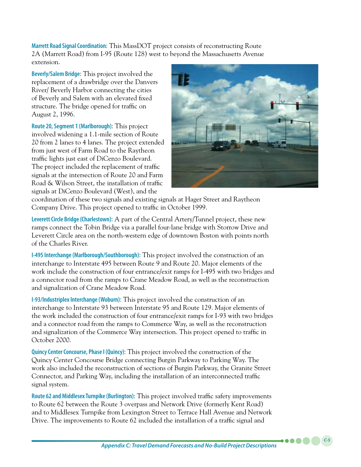**Marrett Road Signal Coordination:** This MassDOT project consists of reconstructing Route 2A (Marrett Road) from I-95 (Route 128) west to beyond the Massachusetts Avenue extension.

**Beverly/Salem Bridge:** This project involved the replacement of a drawbridge over the Danvers River/ Beverly Harbor connecting the cities of Beverly and Salem with an elevated fixed structure. The bridge opened for traffic on August 2, 1996.

**Route 20, Segment 1 (Marlborough):** This project involved widening a 1.1-mile section of Route 20 from 2 lanes to 4 lanes. The project extended from just west of Farm Road to the Raytheon traffic lights just east of DiCenzo Boulevard. The project included the replacement of traffic signals at the intersection of Route 20 and Farm Road & Wilson Street, the installation of traffic signals at DiCenzo Boulevard (West), and the



coordination of these two signals and existing signals at Hager Street and Raytheon Company Drive. This project opened to traffic in October 1999.

**Leverett Circle Bridge (Charlestown):** A part of the Central Artery/Tunnel project, these new ramps connect the Tobin Bridge via a parallel four-lane bridge with Storrow Drive and Leverett Circle area on the north-western edge of downtown Boston with points north of the Charles River.

**I-495 Interchange (Marlborough/Southborough):** This project involved the construction of an interchange to Interstate 495 between Route 9 and Route 20. Major elements of the work include the construction of four entrance/exit ramps for I-495 with two bridges and a connector road from the ramps to Crane Meadow Road, as well as the reconstruction and signalization of Crane Meadow Road.

**I-93/Industriplex Interchange (Woburn):** This project involved the construction of an interchange to Interstate 93 between Interstate 95 and Route 129. Major elements of the work included the construction of four entrance/exit ramps for I-93 with two bridges and a connector road from the ramps to Commerce Way, as well as the reconstruction and signalization of the Commerce Way intersection. This project opened to traffic in October 2000.

**Quincy Center Concourse, Phase I (Quincy):** This project involved the construction of the Quincy Center Concourse Bridge connecting Burgin Parkway to Parking Way. The work also included the reconstruction of sections of Burgin Parkway, the Granite Street Connector, and Parking Way, including the installation of an interconnected traffic signal system.

**Route 62 and Middlesex Turnpike (Burlington):** This project involved traffic safety improvements to Route 62 between the Route 3 overpass and Network Drive (formerly Kent Road) and to Middlesex Turnpike from Lexington Street to Terrace Hall Avenue and Network Drive. The improvements to Route 62 included the installation of a traffic signal and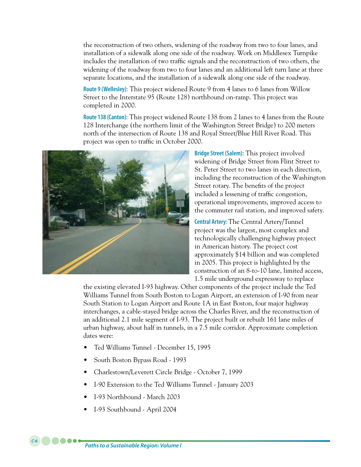the reconstruction of two others, widening of the roadway from two to four lanes, and installation of a sidewalk along one side of the roadway. Work on Middlesex Turnpike includes the installation of two traffic signals and the reconstruction of two others, the widening of the roadway from two to four lanes and an additional left turn lane at three separate locations, and the installation of a sidewalk along one side of the roadway.

**Route 9 (Wellesley):** This project widened Route 9 from 4 lanes to 6 lanes from Willow Street to the Interstate 95 (Route 128) northbound on-ramp. This project was completed in 2000.

**Route 138 (Canton):** This project widened Route 138 from 2 lanes to 4 lanes from the Route 128 Interchange (the northern limit of the Washington Street Bridge) to 200 meters north of the intersection of Route 138 and Royal Street/Blue Hill River Road. This project was open to traffic in October 2000.



**Bridge Street (Salem):** This project involved widening of Bridge Street from Flint Street to St. Peter Street to two lanes in each direction, including the reconstruction of the Washington Street rotary. The benefits of the project included a lessening of traffic congestion, operational improvements, improved access to the commuter rail station, and improved safety.

**Central Artery:** The Central Artery/Tunnel project was the largest, most complex and technologically challenging highway project in American history. The project cost approximately \$14 billion and was completed in 2005. This project is highlighted by the construction of an 8-to-10 lane, limited access, 1.5 mile underground expressway to replace

the existing elevated I-93 highway. Other components of the project include the Ted Williams Tunnel from South Boston to Logan Airport, an extension of I-90 from near South Station to Logan Airport and Route 1A in East Boston, four major highway interchanges, a cable-stayed bridge across the Charles River, and the reconstruction of an additional 2.1 mile segment of I-93. The project built or rebuilt 161 lane miles of urban highway, about half in tunnels, in a 7.5 mile corridor. Approximate completion dates were:

- Ted Williams Tunnel December 15, 1995
- South Boston Bypass Road 1993
- Charlestown/Leverett Circle Bridge October 7, 1999
- I-90 Extension to the Ted Williams Tunnel January 2003
- L-93 Northbound March 2003
- I-93 Southbound April 2004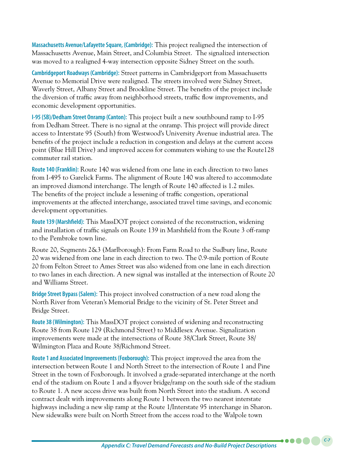**Massachusetts Avenue/Lafayette Square, (Cambridge):** This project realigned the intersection of Massachusetts Avenue, Main Street, and Columbia Street. The signalized intersection was moved to a realigned 4-way intersection opposite Sidney Street on the south.

**Cambridgeport Roadways (Cambridge):** Street patterns in Cambridgeport from Massachusetts Avenue to Memorial Drive were realigned. The streets involved were Sidney Street, Waverly Street, Albany Street and Brookline Street. The benefits of the project include the diversion of traffic away from neighborhood streets, traffic flow improvements, and economic development opportunities.

**I-95 (SB)/Dedham Street Onramp (Canton):** This project built a new southbound ramp to I-95 from Dedham Street. There is no signal at the onramp. This project will provide direct access to Interstate 95 (South) from Westwood's University Avenue industrial area. The benefits of the project include a reduction in congestion and delays at the current access point (Blue Hill Drive) and improved access for commuters wishing to use the Route128 commuter rail station.

**Route 140 (Franklin):** Route 140 was widened from one lane in each direction to two lanes from I-495 to Garelick Farms. The alignment of Route 140 was altered to accommodate an improved diamond interchange. The length of Route 140 affected is 1.2 miles. The benefits of the project include a lessening of traffic congestion, operational improvements at the affected interchange, associated travel time savings, and economic development opportunities.

**Route 139 (Marshfield):** This MassDOT project consisted of the reconstruction, widening and installation of traffic signals on Route 139 in Marshfield from the Route 3 off-ramp to the Pembroke town line.

Route 20, Segments 2&3 (Marlborough): From Farm Road to the Sudbury line, Route 20 was widened from one lane in each direction to two. The 0.9-mile portion of Route 20 from Felton Street to Ames Street was also widened from one lane in each direction to two lanes in each direction. A new signal was installed at the intersection of Route 20 and Williams Street.

**Bridge Street Bypass (Salem):** This project involved construction of a new road along the North River from Veteran's Memorial Bridge to the vicinity of St. Peter Street and Bridge Street.

**Route 38 (Wilmington):** This MassDOT project consisted of widening and reconstructing Route 38 from Route 129 (Richmond Street) to Middlesex Avenue. Signalization improvements were made at the intersections of Route 38/Clark Street, Route 38/ Wilmington Plaza and Route 38/Richmond Street.

**Route 1 and Associated Improvements (Foxborough):** This project improved the area from the intersection between Route 1 and North Street to the intersection of Route 1 and Pine Street in the town of Foxborough. It involved a grade-separated interchange at the north end of the stadium on Route 1 and a flyover bridge/ramp on the south side of the stadium to Route 1. A new access drive was built from North Street into the stadium. A second contract dealt with improvements along Route 1 between the two nearest interstate highways including a new slip ramp at the Route 1/Interstate 95 interchange in Sharon. New sidewalks were built on North Street from the access road to the Walpole town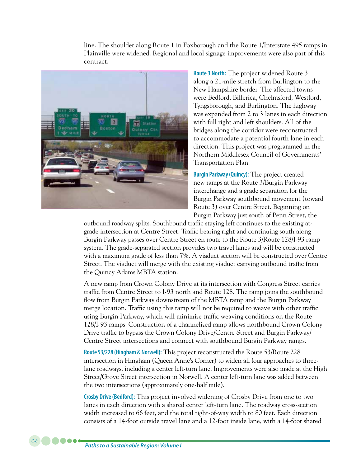line. The shoulder along Route 1 in Foxborough and the Route 1/Interstate 495 ramps in Plainville were widened. Regional and local signage improvements were also part of this contract.



**Route 3 North:** The project widened Route 3 along a 21-mile stretch from Burlington to the New Hampshire border. The affected towns were Bedford, Billerica, Chelmsford, Westford, Tyngsborough, and Burlington. The highway was expanded from 2 to 3 lanes in each direction with full right and left shoulders. All of the bridges along the corridor were reconstructed to accommodate a potential fourth lane in each direction. This project was programmed in the Northern Middlesex Council of Governments' Transportation Plan.

**Burgin Parkway (Quincy):** The project created new ramps at the Route 3/Burgin Parkway interchange and a grade separation for the Burgin Parkway southbound movement (toward Route 3) over Centre Street. Beginning on Burgin Parkway just south of Penn Street, the

outbound roadway splits. Southbound traffic staying left continues to the existing atgrade intersection at Centre Street. Traffic bearing right and continuing south along Burgin Parkway passes over Centre Street en route to the Route 3/Route 128/I-93 ramp system. The grade-separated section provides two travel lanes and will be constructed with a maximum grade of less than 7%. A viaduct section will be constructed over Centre Street. The viaduct will merge with the existing viaduct carrying outbound traffic from the Quincy Adams MBTA station.

A new ramp from Crown Colony Drive at its intersection with Congress Street carries traffic from Centre Street to I-93 north and Route 128. The ramp joins the southbound flow from Burgin Parkway downstream of the MBTA ramp and the Burgin Parkway merge location. Traffic using this ramp will not be required to weave with other traffic using Burgin Parkway, which will minimize traffic weaving conditions on the Route 128/I-93 ramps. Construction of a channelized ramp allows northbound Crown Colony Drive traffic to bypass the Crown Colony Drive/Centre Street and Burgin Parkway/ Centre Street intersections and connect with southbound Burgin Parkway ramps.

**Route 53/228 (Hingham & Norwell):** This project reconstructed the Route 53/Route 228 intersection in Hingham (Queen Anne's Corner) to widen all four approaches to threelane roadways, including a center left-turn lane. Improvements were also made at the High Street/Grove Street intersection in Norwell. A center left-turn lane was added between the two intersections (approximately one-half mile).

**Crosby Drive (Bedford):** This project involved widening of Crosby Drive from one to two lanes in each direction with a shared center left-turn lane. The roadway cross-section width increased to 66 feet, and the total right-of-way width to 80 feet. Each direction consists of a 14-foot outside travel lane and a 12-foot inside lane, with a 14-foot shared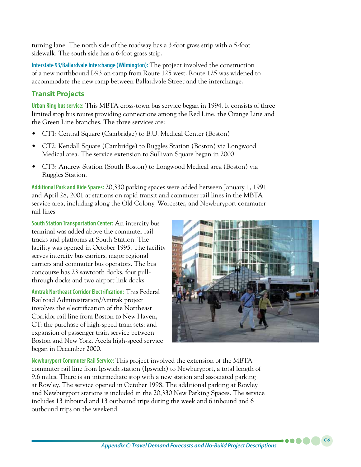turning lane. The north side of the roadway has a 3-foot grass strip with a 5-foot sidewalk. The south side has a 6-foot grass strip.

**Interstate 93/Ballardvale Interchange (Wilmington):** The project involved the construction of a new northbound I-93 on-ramp from Route 125 west. Route 125 was widened to accommodate the new ramp between Ballardvale Street and the interchange.

## **Transit Projects**

**Urban Ring bus service:** This MBTA cross-town bus service began in 1994. It consists of three limited stop bus routes providing connections among the Red Line, the Orange Line and the Green Line branches. The three services are:

- CT1: Central Square (Cambridge) to B.U. Medical Center (Boston)
- CT2: Kendall Square (Cambridge) to Ruggles Station (Boston) via Longwood Medical area. The service extension to Sullivan Square began in 2000.
- CT3: Andrew Station (South Boston) to Longwood Medical area (Boston) via Ruggles Station.

**Additional Park and Ride Spaces:** 20,330 parking spaces were added between January 1, 1991 and April 28, 2001 at stations on rapid transit and commuter rail lines in the MBTA service area, including along the Old Colony, Worcester, and Newburyport commuter rail lines.

**South Station Transportation Center:** An intercity bus terminal was added above the commuter rail tracks and platforms at South Station. The facility was opened in October 1995. The facility serves intercity bus carriers, major regional carriers and commuter bus operators. The bus concourse has 23 sawtooth docks, four pullthrough docks and two airport link docks.

**Amtrak Northeast Corridor Electrification:** This Federal Railroad Administration/Amtrak project involves the electrification of the Northeast Corridor rail line from Boston to New Haven, CT; the purchase of high-speed train sets; and expansion of passenger train service between Boston and New York. Acela high-speed service began in December 2000.



*C-9*

**Newburyport Commuter Rail Service:** This project involved the extension of the MBTA commuter rail line from Ipswich station (Ipswich) to Newburyport, a total length of 9.6 miles. There is an intermediate stop with a new station and associated parking at Rowley. The service opened in October 1998. The additional parking at Rowley and Newburyport stations is included in the 20,330 New Parking Spaces. The service includes 13 inbound and 13 outbound trips during the week and 6 inbound and 6 outbound trips on the weekend.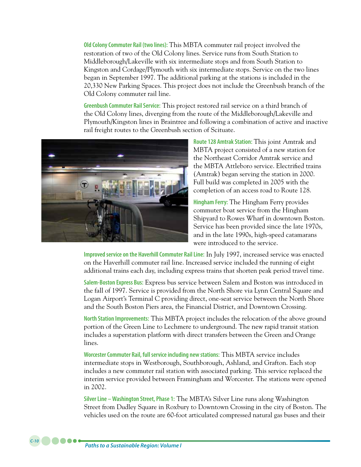**Old Colony Commuter Rail (two lines):** This MBTA commuter rail project involved the restoration of two of the Old Colony lines. Service runs from South Station to Middleborough/Lakeville with six intermediate stops and from South Station to Kingston and Cordage/Plymouth with six intermediate stops. Service on the two lines began in September 1997. The additional parking at the stations is included in the 20,330 New Parking Spaces. This project does not include the Greenbush branch of the Old Colony commuter rail line.

**Greenbush Commuter Rail Service:** This project restored rail service on a third branch of the Old Colony lines, diverging from the route of the Middleborough/Lakeville and Plymouth/Kingston lines in Braintree and following a combination of active and inactive rail freight routes to the Greenbush section of Scituate.



**Route 128 Amtrak Station:** This joint Amtrak and MBTA project consisted of a new station for the Northeast Corridor Amtrak service and the MBTA Attleboro service. Electrified trains (Amtrak) began serving the station in 2000. Full build was completed in 2005 with the completion of an access road to Route 128.

**Hingham Ferry:** The Hingham Ferry provides commuter boat service from the Hingham Shipyard to Rowes Wharf in downtown Boston. Service has been provided since the late 1970s, and in the late 1990s, high-speed catamarans were introduced to the service.

**Improved service on the Haverhill Commuter Rail Line:** In July 1997, increased service was enacted on the Haverhill commuter rail line. Increased service included the running of eight additional trains each day, including express trains that shorten peak period travel time.

**Salem-Boston Express Bus:** Express bus service between Salem and Boston was introduced in the fall of 1997. Service is provided from the North Shore via Lynn Central Square and Logan Airport's Terminal C providing direct, one-seat service between the North Shore and the South Boston Piers area, the Financial District, and Downtown Crossing.

**North Station Improvements:** This MBTA project includes the relocation of the above ground portion of the Green Line to Lechmere to underground. The new rapid transit station includes a superstation platform with direct transfers between the Green and Orange lines.

**Worcester Commuter Rail, full service including new stations:** This MBTA service includes intermediate stops in Westborough, Southborough, Ashland, and Grafton. Each stop includes a new commuter rail station with associated parking. This service replaced the interim service provided between Framingham and Worcester. The stations were opened in 2002.

**Silver Line – Washington Street, Phase 1:** The MBTA's Silver Line runs along Washington Street from Dudley Square in Roxbury to Downtown Crossing in the city of Boston. The vehicles used on the route are 60-foot articulated compressed natural gas buses and their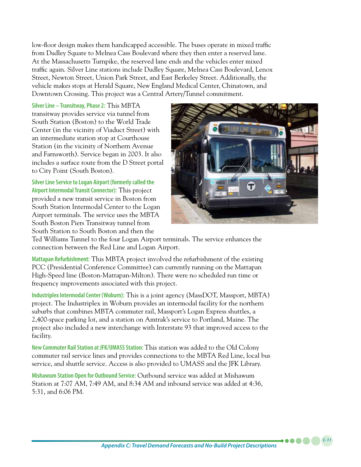low-floor design makes them handicapped accessible. The buses operate in mixed traffic from Dudley Square to Melnea Cass Boulevard where they then enter a reserved lane. At the Massachusetts Turnpike, the reserved lane ends and the vehicles enter mixed traffic again. Silver Line stations include Dudley Square, Melnea Cass Boulevard, Lenox Street, Newton Street, Union Park Street, and East Berkeley Street. Additionally, the vehicle makes stops at Herald Square, New England Medical Center, Chinatown, and Downtown Crossing. This project was a Central Artery/Tunnel commitment.

**Silver Line – Transitway, Phase 2:** This MBTA transitway provides service via tunnel from South Station (Boston) to the World Trade Center (in the vicinity of Viaduct Street) with an intermediate station stop at Courthouse Station (in the vicinity of Northern Avenue and Farnsworth). Service began in 2003. It also includes a surface route from the D Street portal to City Point (South Boston).

**Silver Line Service to Logan Airport (formerly called the Airport Intermodal Transit Connector):** This project provided a new transit service in Boston from South Station Intermodal Center to the Logan Airport terminals. The service uses the MBTA South Boston Piers Transitway tunnel from South Station to South Boston and then the



*C-11*

Ted Williams Tunnel to the four Logan Airport terminals. The service enhances the connection between the Red Line and Logan Airport.

**Mattapan Refurbishment:** This MBTA project involved the refurbishment of the existing PCC (Presidential Conference Committee) cars currently running on the Mattapan High-Speed line (Boston-Mattapan-Milton). There were no scheduled run time or frequency improvements associated with this project.

**Industriplex Intermodal Center (Woburn):** This is a joint agency (MassDOT, Massport, MBTA) project. The Industriplex in Woburn provides an intermodal facility for the northern suburbs that combines MBTA commuter rail, Massport's Logan Express shuttles, a 2,400-space parking lot, and a station on Amtrak's service to Portland, Maine. The project also included a new interchange with Interstate 93 that improved access to the facility.

**New Commuter Rail Station at JFK/UMASS Station:** This station was added to the Old Colony commuter rail service lines and provides connections to the MBTA Red Line, local bus service, and shuttle service. Access is also provided to UMASS and the JFK Library.

**Mishawum Station Open for Outbound Service:** Outbound service was added at Mishawum Station at 7:07 AM, 7:49 AM, and 8:34 AM and inbound service was added at 4:36, 5:31, and 6:06 PM.

*Appendix C: Travel Demand Forecasts and No-Build Project Descriptions*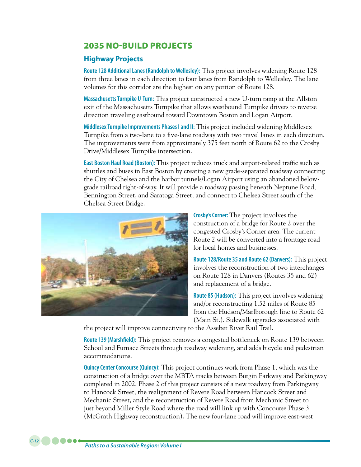# 2035 NO-BUILD PROJECTS

#### **Highway Projects**

**Route 128 Additional Lanes (Randolph to Wellesley):** This project involves widening Route 128 from three lanes in each direction to four lanes from Randolph to Wellesley. The lane volumes for this corridor are the highest on any portion of Route 128.

**Massachusetts Turnpike U-Turn:** This project constructed a new U-turn ramp at the Allston exit of the Massachusetts Turnpike that allows westbound Turnpike drivers to reverse direction traveling eastbound toward Downtown Boston and Logan Airport.

**Middlesex Turnpike Improvements Phases I and II:** This project included widening Middlesex Turnpike from a two-lane to a five-lane roadway with two travel lanes in each direction. The improvements were from approximately 375 feet north of Route 62 to the Crosby Drive/Middlesex Turnpike intersection.

**East Boston Haul Road (Boston):** This project reduces truck and airport-related traffic such as shuttles and buses in East Boston by creating a new grade-separated roadway connecting the City of Chelsea and the harbor tunnels/Logan Airport using an abandoned belowgrade railroad right-of-way. It will provide a roadway passing beneath Neptune Road, Bennington Street, and Saratoga Street, and connect to Chelsea Street south of the Chelsea Street Bridge.



**Crosby's Corner:** The project involves the construction of a bridge for Route 2 over the congested Crosby's Corner area. The current Route 2 will be converted into a frontage road for local homes and businesses.

**Route 128/Route 35 and Route 62 (Danvers):** This project involves the reconstruction of two interchanges on Route 128 in Danvers (Routes 35 and 62) and replacement of a bridge.

**Route 85 (Hudson):** This project involves widening and/or reconstructing 1.52 miles of Route 85 from the Hudson/Marlborough line to Route 62 (Main St.). Sidewalk upgrades associated with

the project will improve connectivity to the Assebet River Rail Trail.

**Route 139 (Marshfield):** This project removes a congested bottleneck on Route 139 between School and Furnace Streets through roadway widening, and adds bicycle and pedestrian accommodations.

**Quincy Center Concourse (Quincy):** This project continues work from Phase 1, which was the construction of a bridge over the MBTA tracks between Burgin Parkway and Parkingway completed in 2002. Phase 2 of this project consists of a new roadway from Parkingway to Hancock Street, the realignment of Revere Road between Hancock Street and Mechanic Street, and the reconstruction of Revere Road from Mechanic Street to just beyond Miller Style Road where the road will link up with Concourse Phase 3 (McGrath Highway reconstruction). The new four-lane road will improve east-west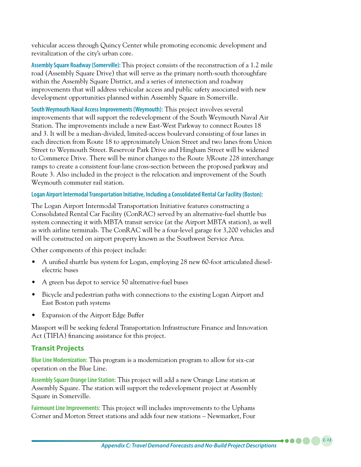vehicular access through Quincy Center while promoting economic development and revitalization of the city's urban core.

**Assembly Square Roadway (Somerville):** This project consists of the reconstruction of a 1.2 mile road (Assembly Square Drive) that will serve as the primary north-south thoroughfare within the Assembly Square District, and a series of intersection and roadway improvements that will address vehicular access and public safety associated with new development opportunities planned within Assembly Square in Somerville.

**South Weymouth Naval Access Improvements (Weymouth):** This project involves several improvements that will support the redevelopment of the South Weymouth Naval Air Station. The improvements include a new East-West Parkway to connect Routes 18 and 3. It will be a median-divided, limited-access boulevard consisting of four lanes in each direction from Route 18 to approximately Union Street and two lanes from Union Street to Weymouth Street. Reservoir Park Drive and Hingham Street will be widened to Commerce Drive. There will be minor changes to the Route 3/Route 228 interchange ramps to create a consistent four-lane cross-section between the proposed parkway and Route 3. Also included in the project is the relocation and improvement of the South Weymouth commuter rail station.

#### **Logan Airport Intermodal Transportation Initiative, Including a Consolidated Rental Car Facility (Boston):**

The Logan Airport Intermodal Transportation Initiative features constructing a Consolidated Rental Car Facility (ConRAC) served by an alternative-fuel shuttle bus system connecting it with MBTA transit service (at the Airport MBTA station), as well as with airline terminals. The ConRAC will be a four-level garage for 3,200 vehicles and will be constructed on airport property known as the Southwest Service Area.

Other components of this project include:

- A unified shuttle bus system for Logan, employing 28 new 60-foot articulated dieselelectric buses
- A green bus depot to service 50 alternative-fuel buses
- Bicycle and pedestrian paths with connections to the existing Logan Airport and East Boston path systems
- • Expansion of the Airport Edge Buffer

Massport will be seeking federal Transportation Infrastructure Finance and Innovation Act (TIFIA) financing assistance for this project.

### **Transit Projects**

**Blue Line Modernization:** This program is a modernization program to allow for six-car operation on the Blue Line.

**Assembly Square Orange Line Station:** This project will add a new Orange Line station at Assembly Square. The station will support the redevelopment project at Assembly Square in Somerville.

**Fairmount Line Improvements:** This project will includes improvements to the Uphams Corner and Morton Street stations and adds four new stations – Newmarket, Four

*C-13*

. . . .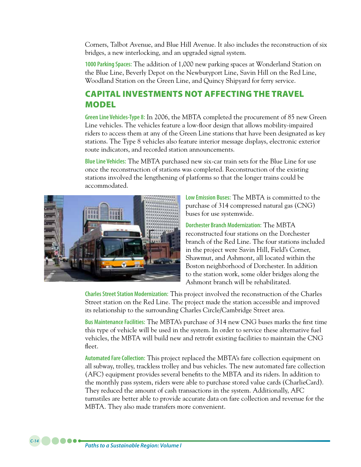Corners, Talbot Avenue, and Blue Hill Avenue. It also includes the reconstruction of six bridges, a new interlocking, and an upgraded signal system.

**1000 Parking Spaces:** The addition of 1,000 new parking spaces at Wonderland Station on the Blue Line, Beverly Depot on the Newburyport Line, Savin Hill on the Red Line, Woodland Station on the Green Line, and Quincy Shipyard for ferry service.

## CAPITAL INVESTMENTS NOT AFFECTING THE TRAVEL MODEL

**Green Line Vehicles-Type 8:** In 2006, the MBTA completed the procurement of 85 new Green Line vehicles. The vehicles feature a low-floor design that allows mobility-impaired riders to access them at any of the Green Line stations that have been designated as key stations. The Type 8 vehicles also feature interior message displays, electronic exterior route indicators, and recorded station announcements.

**Blue Line Vehicles:** The MBTA purchased new six-car train sets for the Blue Line for use once the reconstruction of stations was completed. Reconstruction of the existing stations involved the lengthening of platforms so that the longer trains could be accommodated.



**Low Emission Buses:** The MBTA is committed to the purchase of 314 compressed natural gas (CNG) buses for use systemwide.

**Dorchester Branch Modernization:** The MBTA reconstructed four stations on the Dorchester branch of the Red Line. The four stations included in the project were Savin Hill, Field's Corner, Shawmut, and Ashmont, all located within the Boston neighborhood of Dorchester. In addition to the station work, some older bridges along the Ashmont branch will be rehabilitated.

**Charles Street Station Modernization:** This project involved the reconstruction of the Charles Street station on the Red Line. The project made the station accessible and improved its relationship to the surrounding Charles Circle/Cambridge Street area.

**Bus Maintenance Facilities:** The MBTA's purchase of 314 new CNG buses marks the first time this type of vehicle will be used in the system. In order to service these alternative fuel vehicles, the MBTA will build new and retrofit existing facilities to maintain the CNG fleet.

**Automated Fare Collection:** This project replaced the MBTA's fare collection equipment on all subway, trolley, trackless trolley and bus vehicles. The new automated fare collection (AFC) equipment provides several benefits to the MBTA and its riders. In addition to the monthly pass system, riders were able to purchase stored value cards (CharlieCard). They reduced the amount of cash transactions in the system. Additionally, AFC turnstiles are better able to provide accurate data on fare collection and revenue for the MBTA. They also made transfers more convenient.